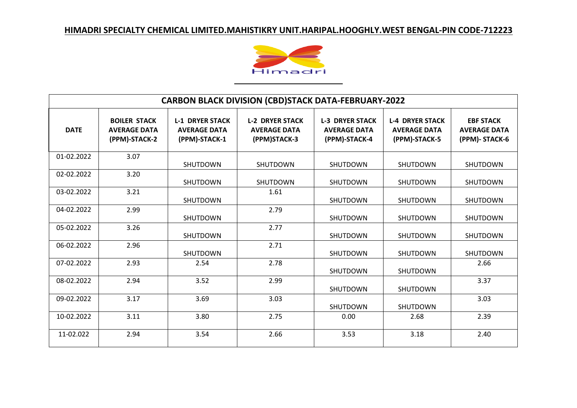

| <b>CARBON BLACK DIVISION (CBD)STACK DATA-FEBRUARY-2022</b> |                                                             |                                                                |                                                               |                                                                |                                                                |                                                          |  |
|------------------------------------------------------------|-------------------------------------------------------------|----------------------------------------------------------------|---------------------------------------------------------------|----------------------------------------------------------------|----------------------------------------------------------------|----------------------------------------------------------|--|
| <b>DATE</b>                                                | <b>BOILER STACK</b><br><b>AVERAGE DATA</b><br>(PPM)-STACK-2 | <b>L-1 DRYER STACK</b><br><b>AVERAGE DATA</b><br>(PPM)-STACK-1 | <b>L-2 DRYER STACK</b><br><b>AVERAGE DATA</b><br>(PPM)STACK-3 | <b>L-3 DRYER STACK</b><br><b>AVERAGE DATA</b><br>(PPM)-STACK-4 | <b>L-4 DRYER STACK</b><br><b>AVERAGE DATA</b><br>(PPM)-STACK-5 | <b>EBF STACK</b><br><b>AVERAGE DATA</b><br>(PPM)-STACK-6 |  |
| 01-02.2022                                                 | 3.07                                                        | SHUTDOWN                                                       | <b>SHUTDOWN</b>                                               | <b>SHUTDOWN</b>                                                | <b>SHUTDOWN</b>                                                | <b>SHUTDOWN</b>                                          |  |
| 02-02.2022                                                 | 3.20                                                        | SHUTDOWN                                                       | SHUTDOWN                                                      | <b>SHUTDOWN</b>                                                | <b>SHUTDOWN</b>                                                | SHUTDOWN                                                 |  |
| 03-02.2022                                                 | 3.21                                                        | SHUTDOWN                                                       | 1.61                                                          | <b>SHUTDOWN</b>                                                | <b>SHUTDOWN</b>                                                | <b>SHUTDOWN</b>                                          |  |
| 04-02.2022                                                 | 2.99                                                        | SHUTDOWN                                                       | 2.79                                                          | SHUTDOWN                                                       | <b>SHUTDOWN</b>                                                | <b>SHUTDOWN</b>                                          |  |
| 05-02.2022                                                 | 3.26                                                        | SHUTDOWN                                                       | 2.77                                                          | <b>SHUTDOWN</b>                                                | <b>SHUTDOWN</b>                                                | <b>SHUTDOWN</b>                                          |  |
| 06-02.2022                                                 | 2.96                                                        | SHUTDOWN                                                       | 2.71                                                          | <b>SHUTDOWN</b>                                                | <b>SHUTDOWN</b>                                                | <b>SHUTDOWN</b>                                          |  |
| 07-02.2022                                                 | 2.93                                                        | 2.54                                                           | 2.78                                                          | SHUTDOWN                                                       | SHUTDOWN                                                       | 2.66                                                     |  |
| 08-02.2022                                                 | 2.94                                                        | 3.52                                                           | 2.99                                                          | SHUTDOWN                                                       | SHUTDOWN                                                       | 3.37                                                     |  |
| 09-02.2022                                                 | 3.17                                                        | 3.69                                                           | 3.03                                                          | <b>SHUTDOWN</b>                                                | <b>SHUTDOWN</b>                                                | 3.03                                                     |  |
| 10-02.2022                                                 | 3.11                                                        | 3.80                                                           | 2.75                                                          | 0.00                                                           | 2.68                                                           | 2.39                                                     |  |
| 11-02.022                                                  | 2.94                                                        | 3.54                                                           | 2.66                                                          | 3.53                                                           | 3.18                                                           | 2.40                                                     |  |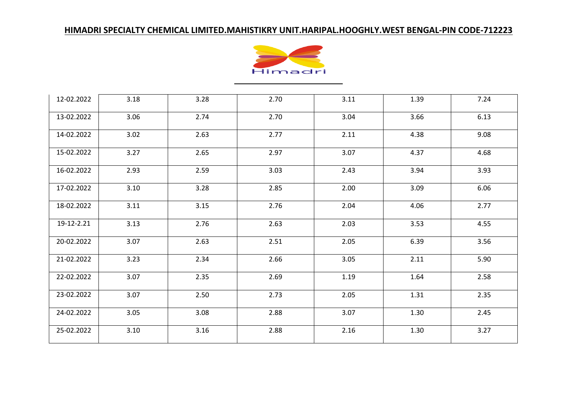

| 12-02.2022 | 3.18 | 3.28 | 2.70 | 3.11 | 1.39 | 7.24 |
|------------|------|------|------|------|------|------|
| 13-02.2022 | 3.06 | 2.74 | 2.70 | 3.04 | 3.66 | 6.13 |
| 14-02.2022 | 3.02 | 2.63 | 2.77 | 2.11 | 4.38 | 9.08 |
| 15-02.2022 | 3.27 | 2.65 | 2.97 | 3.07 | 4.37 | 4.68 |
| 16-02.2022 | 2.93 | 2.59 | 3.03 | 2.43 | 3.94 | 3.93 |
| 17-02.2022 | 3.10 | 3.28 | 2.85 | 2.00 | 3.09 | 6.06 |
| 18-02.2022 | 3.11 | 3.15 | 2.76 | 2.04 | 4.06 | 2.77 |
| 19-12-2.21 | 3.13 | 2.76 | 2.63 | 2.03 | 3.53 | 4.55 |
| 20-02.2022 | 3.07 | 2.63 | 2.51 | 2.05 | 6.39 | 3.56 |
| 21-02.2022 | 3.23 | 2.34 | 2.66 | 3.05 | 2.11 | 5.90 |
| 22-02.2022 | 3.07 | 2.35 | 2.69 | 1.19 | 1.64 | 2.58 |
| 23-02.2022 | 3.07 | 2.50 | 2.73 | 2.05 | 1.31 | 2.35 |
| 24-02.2022 | 3.05 | 3.08 | 2.88 | 3.07 | 1.30 | 2.45 |
| 25-02.2022 | 3.10 | 3.16 | 2.88 | 2.16 | 1.30 | 3.27 |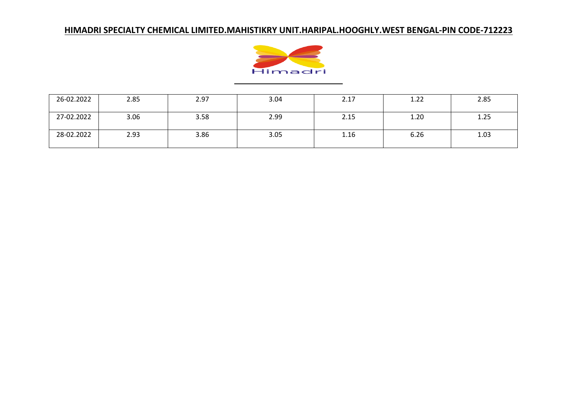

| 26-02.2022 | 2.85 | 2.97 | 3.04 | 2.17 | 1.22 | 2.85 |
|------------|------|------|------|------|------|------|
| 27-02.2022 | 3.06 | 3.58 | 2.99 | 2.15 | 1.20 | 1.25 |
| 28-02.2022 | 2.93 | 3.86 | 3.05 | 1.16 | 6.26 | 1.03 |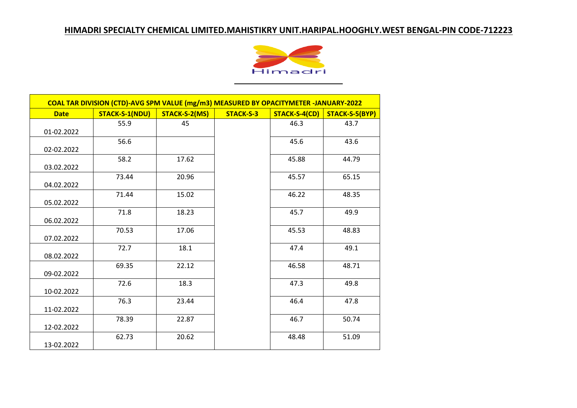

| COAL TAR DIVISION (CTD)-AVG SPM VALUE (mg/m3) MEASURED BY OPACITYMETER -JANUARY-2022 |                       |               |                  |               |                |  |  |
|--------------------------------------------------------------------------------------|-----------------------|---------------|------------------|---------------|----------------|--|--|
| <b>Date</b>                                                                          | <b>STACK-S-1(NDU)</b> | STACK-S-2(MS) | <b>STACK-S-3</b> | STACK-S-4(CD) | STACK-S-5(BYP) |  |  |
| 01-02.2022                                                                           | 55.9                  | 45            |                  | 46.3          | 43.7           |  |  |
| 02-02.2022                                                                           | 56.6                  |               |                  | 45.6          | 43.6           |  |  |
| 03.02.2022                                                                           | 58.2                  | 17.62         |                  | 45.88         | 44.79          |  |  |
| 04.02.2022                                                                           | 73.44                 | 20.96         |                  | 45.57         | 65.15          |  |  |
| 05.02.2022                                                                           | 71.44                 | 15.02         |                  | 46.22         | 48.35          |  |  |
| 06.02.2022                                                                           | 71.8                  | 18.23         |                  | 45.7          | 49.9           |  |  |
| 07.02.2022                                                                           | 70.53                 | 17.06         |                  | 45.53         | 48.83          |  |  |
| 08.02.2022                                                                           | 72.7                  | 18.1          |                  | 47.4          | 49.1           |  |  |
| 09-02.2022                                                                           | 69.35                 | 22.12         |                  | 46.58         | 48.71          |  |  |
| 10-02.2022                                                                           | 72.6                  | 18.3          |                  | 47.3          | 49.8           |  |  |
| 11-02.2022                                                                           | 76.3                  | 23.44         |                  | 46.4          | 47.8           |  |  |
| 12-02.2022                                                                           | 78.39                 | 22.87         |                  | 46.7          | 50.74          |  |  |
| 13-02.2022                                                                           | 62.73                 | 20.62         |                  | 48.48         | 51.09          |  |  |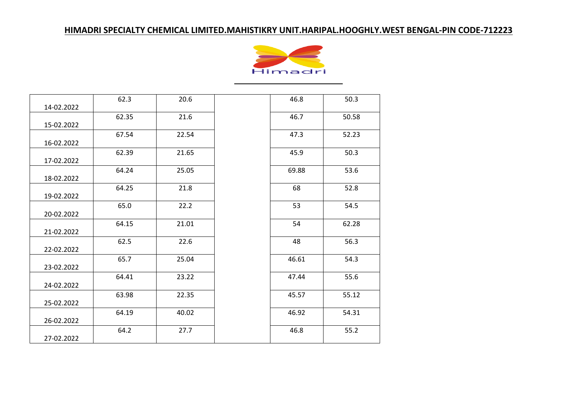

| 14-02.2022 | 62.3  | 20.6  | 46.8  | 50.3  |
|------------|-------|-------|-------|-------|
| 15-02.2022 | 62.35 | 21.6  | 46.7  | 50.58 |
| 16-02.2022 | 67.54 | 22.54 | 47.3  | 52.23 |
| 17-02.2022 | 62.39 | 21.65 | 45.9  | 50.3  |
| 18-02.2022 | 64.24 | 25.05 | 69.88 | 53.6  |
| 19-02.2022 | 64.25 | 21.8  | 68    | 52.8  |
| 20-02.2022 | 65.0  | 22.2  | 53    | 54.5  |
| 21-02.2022 | 64.15 | 21.01 | 54    | 62.28 |
| 22-02.2022 | 62.5  | 22.6  | 48    | 56.3  |
| 23-02.2022 | 65.7  | 25.04 | 46.61 | 54.3  |
| 24-02.2022 | 64.41 | 23.22 | 47.44 | 55.6  |
| 25-02.2022 | 63.98 | 22.35 | 45.57 | 55.12 |
| 26-02.2022 | 64.19 | 40.02 | 46.92 | 54.31 |
| 27-02.2022 | 64.2  | 27.7  | 46.8  | 55.2  |

| 46.8  | 50.3  |
|-------|-------|
| 46.7  | 50.58 |
| 47.3  | 52.23 |
| 45.9  | 50.3  |
| 69.88 | 53.6  |
| 68    | 52.8  |
| 53    | 54.5  |
| 54    | 62.28 |
| 48    | 56.3  |
| 46.61 | 54.3  |
| 47.44 | 55.6  |
| 45.57 | 55.12 |
| 46.92 | 54.31 |
| 46.8  | 55.2  |